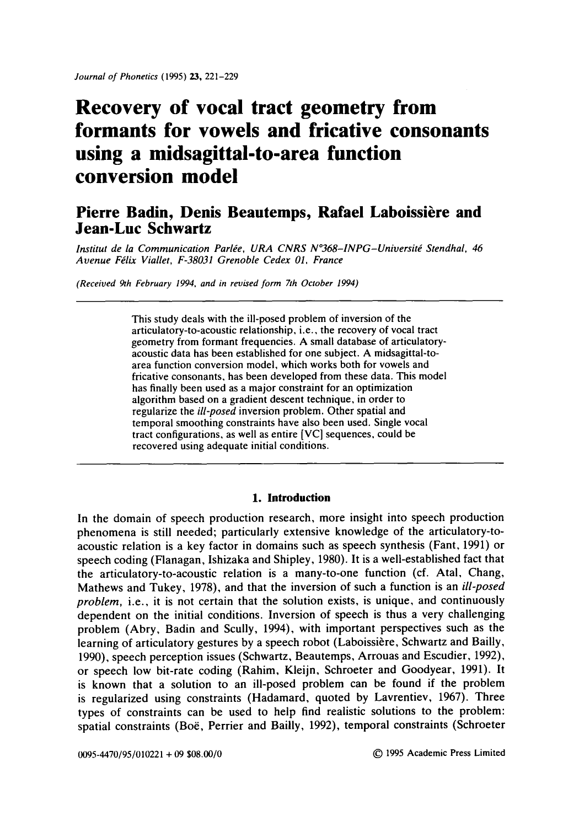# **Recovery of vocal tract geometry from formants for vowels and fricative consonants using a midsagittai-to-area function conversion model**

# Pierre Badin, Denis Beautemps, Rafael Laboissière and **Jean-Luc Schwartz**

*lnstitut de la Communication Parlée, URA CNRS N°368-INPG-Université Stendhal, 46 Aoenue F~lix Viallet, F-38031 Grenoble Cedex 01, France* 

*(Received 9th February 1994. and in revised form 7th October 1994)* 

This study deals with the ill-posed problem of inversion of the articulatory-to-acoustic relationship, i.e., the recovery of vocal tract geometry from formant frequencies. A small database of articulatoryacoustic data has been established for one subject. A midsagittal-toarea function conversion model, which works both for vowels and fricative consonants, has been developed from these data. This model has finally been used as a major constraint for an optimization algorithm based on a gradient descent technique, in order to regularize the *ill-posed* inversion problem. Other spatial and temporal smoothing constraints have also been used. Single vocal tract configurations, as well as entire [VC] sequences, could be recovered using adequate initial conditions.

#### **1. Introduction**

In the domain of speech production research, more insight into speech production phenomena is still needed; particularly extensive knowledge of the articulatory-toacoustic relation is a key factor in domains such as speech synthesis (Fant, 1991) or speech coding (Flanagan, Ishizaka and Shipley, 1980). It is a well-established fact that the articulatory-to-acoustic relation is a many-to-one function (cf. Atal, Chang, Mathews and Tukey, 1978), and that the inversion of such a function is an *ill-posed problem,* i.e., it is not certain that the solution exists, is unique, and continuously dependent on the initial conditions. Inversion of speech is thus a very challenging problem (Abry, Badin and Scully, 1994), with important perspectives such as the learning of articulatory gestures by a speech robot (Laboissière, Schwartz and Bailly, 1990), speech perception issues (Schwartz, Beautemps, Arrouas and Escudier, 1992), or speech low bit-rate coding (Rahim, Kleijn, Schroeter and Goodyear, 1991). It is known that a solution to an ill-posed problem can be found if the problem is regularized using constraints (Hadamard, quoted by Lavrentiev, 1967). Three types of constraints can be used to help find realistic solutions to the problem: spatial constraints (Boë, Perrier and Bailly, 1992), temporal constraints (Schroeter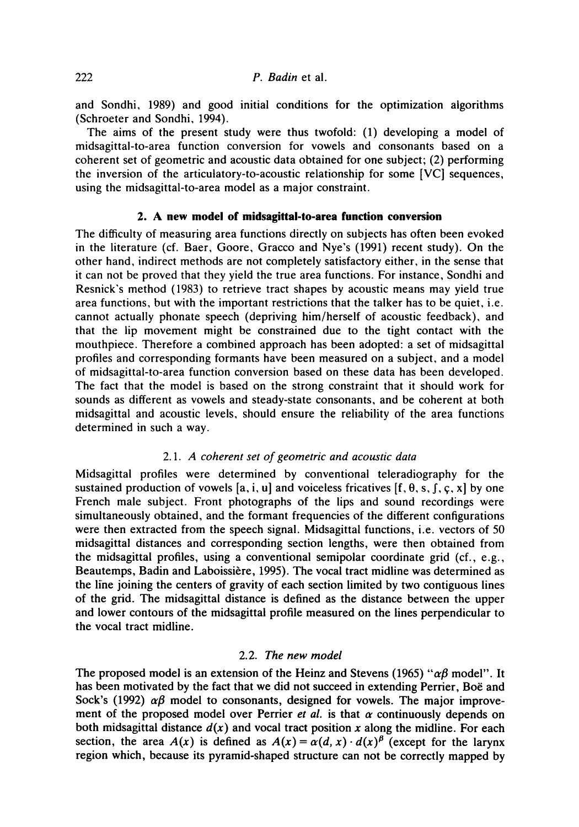and Sondhi, 1989) and good initial conditions for the optimization algorithms (Schroeter and Sondhi, 1994).

The aims of the present study were thus twofold: (1) developing a model of midsagittal-to-area function conversion for vowels and consonants based on a coherent set of geometric and acoustic data obtained for one subject; (2) performing the inversion of the articulatory-to-acoustic relationship for some [VC] sequences, using the midsagittal-to-area model as a major constraint.

### **2. A new model of midsagittal-to-area function conversion**

The difficulty of measuring area functions directly on subjects has often been evoked in the literature (cf. Baer, Goore, Gracco and Nye's (1991) recent study). On the other hand, indirect methods are not completely satisfactory either, in the sense that it can not be proved that they yield the true area functions. For instance, Sondhi and Resnick's method (1983) to retrieve tract shapes by acoustic means may yield true area functions, but with the important restrictions that the talker has to be quiet, i.e. cannot actually phonate speech (depriving him/herself of acoustic feedback), and that the lip movement might be constrained due to the tight contact with the mouthpiece. Therefore a combined approach has been adopted: a set of midsagittal profiles and corresponding formants have been measured on a subject, and a model of midsagittal-to-area function conversion based on these data has been developed. The fact that the model is based on the strong constraint that it should work for sounds as different as vowels and steady-state consonants, and be coherent at both midsagittal and acoustic levels, should ensure the reliability of the area functions determined in such a way.

### *2.1. A coherent set of geometric and acoustic data*

Midsagittal profiles were determined by conventional teleradiography for the sustained production of vowels [a, i, u] and voiceless fricatives  $[f, \theta, s, f, \varsigma, x]$  by one French male subject. Front photographs of the lips and sound recordings were simultaneously obtained, and the formant frequencies of the different configurations were then extracted from the speech signal. Midsagittal functions, i.e. vectors of 50 midsagittal distances and corresponding section lengths, were then obtained from the midsagittal profiles, using a conventional semipolar coordinate grid (cf., e.g., Beautemps, Badin and Laboissière, 1995). The vocal tract midline was determined as the line joining the centers of gravity of each section limited by two contiguous lines of the grid. The midsagittal distance is defined as the distance between the upper and lower contours of the midsagittai profile measured on the lines perpendicular to the vocal tract midline.

### *2.2. The new model*

The proposed model is an extension of the Heinz and Stevens (1965) " $\alpha\beta$  model". It has been motivated by the fact that we did not succeed in extending Perrier, Boë and Sock's (1992)  $\alpha\beta$  model to consonants, designed for vowels. The major improvement of the proposed model over Perrier *et al.* is that  $\alpha$  continuously depends on both midsagittal distance  $d(x)$  and vocal tract position x along the midline. For each section, the area  $A(x)$  is defined as  $A(x) = \alpha(d, x) \cdot d(x)$ <sup>B</sup> (except for the larynx region which, because its pyramid-shaped structure can not be correctly mapped by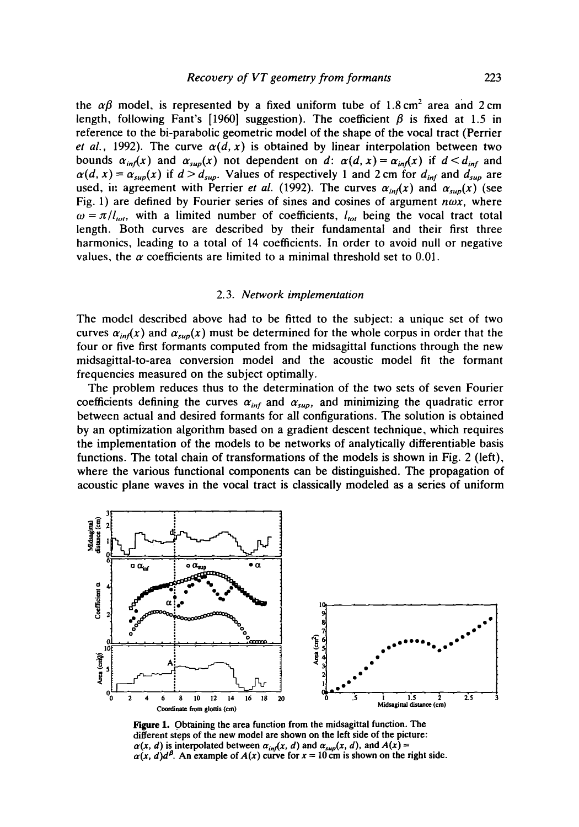the  $\alpha\beta$  model, is represented by a fixed uniform tube of 1.8 cm<sup>2</sup> area and 2 cm length, following Fant's [1960] suggestion). The coefficient  $\beta$  is fixed at 1.5 in reference to the bi-parabolic geometric model of the shape of the vocal tract (Perrier *et al.,* 1992). The curve  $\alpha(d, x)$  is obtained by linear interpolation between two bounds  $\alpha_{inf}(x)$  and  $\alpha_{sup}(x)$  not dependent on d:  $\alpha(d, x) = \alpha_{inf}(x)$  if  $d \le d_{inf}$  and  $\alpha(d, x) = \alpha_{\text{sup}}(x)$  if  $d > d_{\text{sup}}$ . Values of respectively 1 and 2 cm for  $d_{\text{inf}}$  and  $d_{\text{sup}}$  are used, in agreement with Perrier *et al.* (1992). The curves  $\alpha_{in}(x)$  and  $\alpha_{sup}(x)$  (see Fig. 1) are defined by Fourier series of sines and cosines of argument  $n\omega x$ , where  $\omega = \pi / l_{tot}$ , with a limited number of coefficients,  $l_{tot}$  being the vocal tract total length. Both curves are described by their fundamental and their first three harmonics, leading to a total of 14 coefficients. In order to avoid null or negative values, the  $\alpha$  coefficients are limited to a minimal threshold set to 0.01.

#### 2.3. *Network implementation*

The model described above had to be fitted to the subject: a unique set of two curves  $\alpha_{in}(x)$  and  $\alpha_{sup}(x)$  must be determined for the whole corpus in order that the four or five first formants computed from the midsagittal functions through the new midsagittal-to-area conversion model and the acoustic model fit the formant frequencies measured on the subject optimally.

The problem reduces thus to the determination of the two sets of seven Fourier coefficients defining the curves  $\alpha_{inf}$  and  $\alpha_{sup}$ , and minimizing the quadratic error between actual and desired formants for all configurations. The solution is obtained by an optimization algorithm based on a gradient descent technique, which requires the implementation of the models to be networks of analytically differentiable basis functions. The total chain of transformations of the models is shown in Fig. 2 (left), where the various functional components can be distinguished. The propagation of acoustic plane waves in the vocal tract is classically modeled as a series of uniform



**Figure 1. Obtaining the area function from the midsagittal function. The different steps of the new model are shown on the left side of the picture:**   $\alpha(x, d)$  is interpolated between  $\alpha_{inf}(x, d)$  and  $\alpha_{sup}(x, d)$ , and  $A(x) =$  $\alpha(x, d)d^{\beta}$ . An example of  $A(x)$  curve for  $x = 10$  cm is shown on the right side.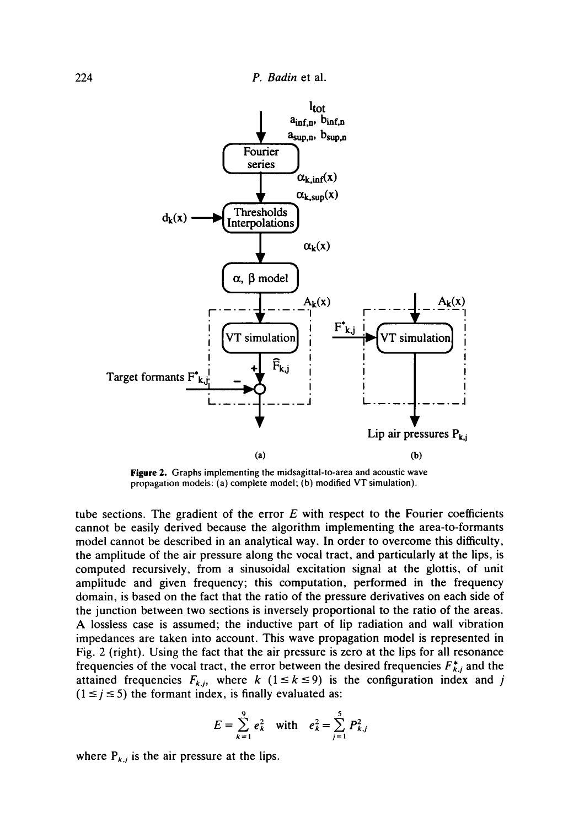

**Figure** 2. Graphs implementing the midsagittal-to-area and acoustic wave propagation models: (a) complete model; (b) modified VT simulation).

tube sections. The gradient of the error  $E$  with respect to the Fourier coefficients cannot be easily derived because the algorithm implementing the area-to-formants model cannot be described in an analytical way. In order to overcome this difficulty, the amplitude of the air pressure along the vocal tract, and particularly at the lips, is computed recursively, from a sinusoidal excitation signal at the glottis, of unit amplitude and given frequency; this computation, performed in the frequency domain, is based on the fact that the ratio of the pressure derivatives on each side of the junction between two sections is inversely proportional to the ratio of the areas. A lossless case is assumed; the inductive part of lip radiation and wall vibration impedances are taken into account. This wave propagation model is represented in Fig. 2 (right). Using the fact that the air pressure is zero at the lips for all resonance frequencies of the vocal tract, the error between the desired frequencies  $F_{k,j}^*$  and the attained frequencies  $F_{k,j}$ , where k ( $1 \le k \le 9$ ) is the configuration index and j  $(1 \le j \le 5)$  the formant index, is finally evaluated as:

$$
E = \sum_{k=1}^{9} e_k^2 \quad \text{with} \quad e_k^2 = \sum_{j=1}^{5} P_{k,j}^2
$$

where  $P_{k,j}$  is the air pressure at the lips.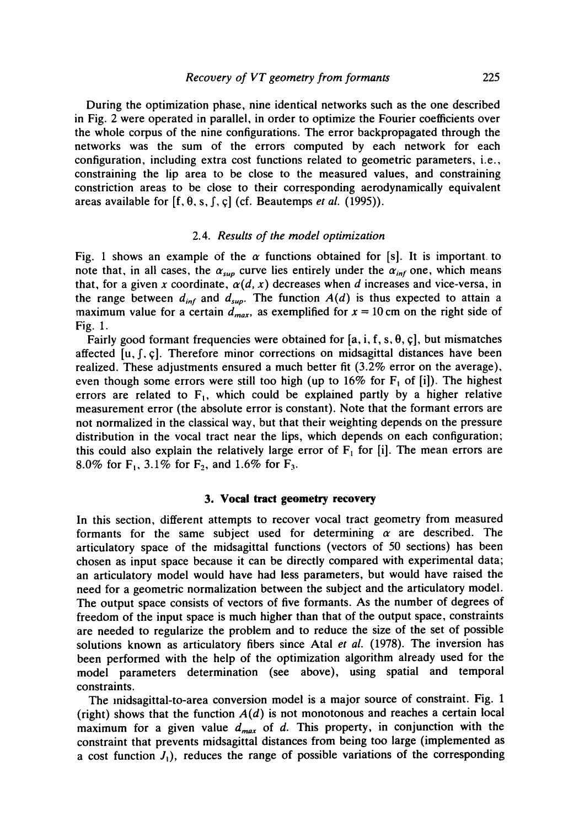During the optimization phase, nine identical networks such as the one described in Fig. 2 were operated in parallel, in order to optimize the Fourier coefficients over the whole corpus of the nine configurations. The error backpropagated through the networks was the sum of the errors computed by each network for each configuration, including extra cost functions related to geometric parameters, i.e., constraining the lip area to be close to the measured values, and constraining constriction areas to be close to their corresponding aerodynamically equivalent areas available for  $[f, \theta, s, f, c]$  (cf. Beautemps *et al.* (1995)).

#### *2.4. Results of the model optimization*

Fig. 1 shows an example of the  $\alpha$  functions obtained for [s]. It is important to note that, in all cases, the  $\alpha_{sup}$  curve lies entirely under the  $\alpha_{inf}$  one, which means that, for a given x coordinate,  $\alpha(d, x)$  decreases when d increases and vice-versa, in the range between  $d_{inf}$  and  $d_{sup}$ . The function  $A(d)$  is thus expected to attain a maximum value for a certain  $d_{max}$ , as exemplified for  $x = 10$  cm on the right side of Fig. 1.

Fairly good formant frequencies were obtained for [a, i, f, s,  $\theta$ , c], but mismatches affected  $[u, f, \varsigma]$ . Therefore minor corrections on midsagittal distances have been realized. These adjustments ensured a much better fit (3.2% error on the average), even though some errors were still too high (up to 16% for  $F_1$  of [i]). The highest errors are related to  $F_1$ , which could be explained partly by a higher relative measurement error (the absolute error is constant). Note that the formant errors are not normalized in the classical way, but that their weighting depends on the pressure distribution in the vocal tract near the lips, which depends on each configuration; this could also explain the relatively large error of  $F_1$  for [i]. The mean errors are 8.0% for F<sub>1</sub>, 3.1% for F<sub>2</sub>, and 1.6% for F<sub>3</sub>.

#### **3. Vocal tract geometry recovery**

In this section, different attempts to recover vocal tract geometry from measured formants for the same subject used for determining  $\alpha$  are described. The articulatory space of the midsagittal functions (vectors of 50 sections) has been chosen as input space because it can be directly compared with experimental data; an articulatory model would have had less parameters, but would have raised the need for a geometric normalization between the subject and the articulatory model. The output space consists of vectors of five formants. As the number of degrees of freedom of the input space is much higher than that of the output space, constraints are needed to regularize the problem and to reduce the size of the set of possible solutions known as articulatory fibers since Atal *et al.* (1978). The inversion has been performed with the help of the optimization algorithm already used for the model parameters determination (see above), using spatial and temporal constraints.

The midsagittal-to-area conversion model is a major source of constraint. Fig. 1 (right) shows that the function  $A(d)$  is not monotonous and reaches a certain local maximum for a given value  $d_{max}$  of d. This property, in conjunction with the constraint that prevents midsagittal distances from being too large (implemented as a cost function  $J_1$ ), reduces the range of possible variations of the corresponding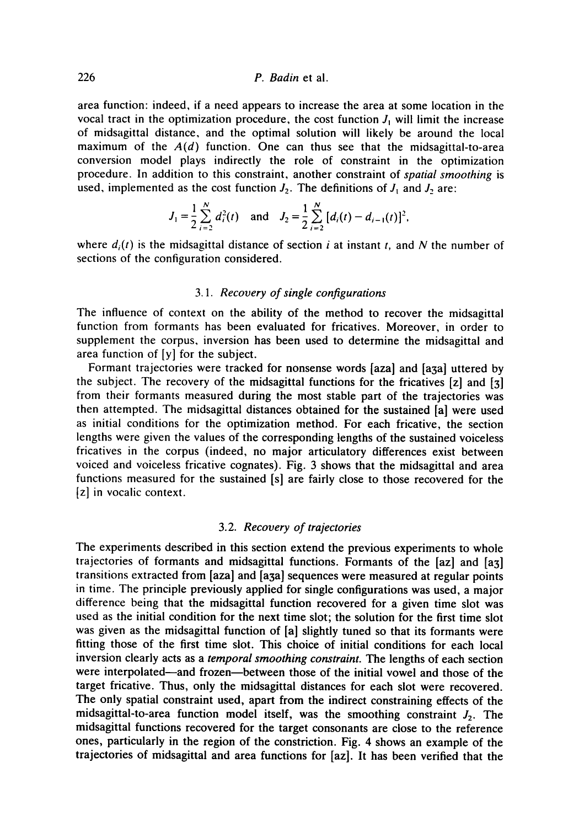## 226 *P. Badin* et al.

area function: indeed, if a need appears to increase the area at some location in the vocal tract in the optimization procedure, the cost function  $J_1$  will limit the increase of midsagittal distance, and the optimal solution will likely be around the local maximum of the  $A(d)$  function. One can thus see that the midsagittal-to-area conversion model plays indirectly the role of constraint in the optimization procedure. In addition to this constraint, another constraint of *spatial smoothing* is used, implemented as the cost function  $J_2$ . The definitions of  $J_1$  and  $J_2$  are:

$$
J_1 = \frac{1}{2} \sum_{i=2}^{N} d_i^2(t)
$$
 and  $J_2 = \frac{1}{2} \sum_{i=2}^{N} [d_i(t) - d_{i-1}(t)]^2$ ,

where  $d_i(t)$  is the midsagittal distance of section i at instant t, and N the number of sections of the configuration considered.

#### *3.1. Recovery of single configurations*

The influence of context on the ability of the method to recover the midsagittal function from formants has been evaluated for fricatives. Moreover, in order to supplement the corpus, inversion has been used to determine the midsagittal and area function of [y] for the subject.

Formant trajectories were tracked for nonsense words [aza] and [a3a] uttered by the subject. The recovery of the midsagittal functions for the fricatives [z] and [3] from their formants measured during the most stable part of the trajectories was then attempted. The midsagittal distances obtained for the sustained [a] were used as initial conditions for the optimization method. For each fricative, the section lengths were given the values of the corresponding lengths of the sustained voiceless fricatives in the corpus (indeed, no major articulatory differences exist between voiced and voiceless fricative cognates). Fig. 3 shows that the midsagittal and area functions measured for the sustained [s] are fairly close to those recovered for the [z] in vocalic context.

#### 3.2. *Recovery of trajectories*

The experiments described in this section extend the previous experiments to whole trajectories of formants and midsagittal functions. Formants of the [az] and [a3] transitions extracted from [aza] and [a3a] sequences were measured at regular points in time. The principle previously applied for single configurations was used, a major difference being that the midsagittal function recovered for a given time slot was used as the initial condition for the next time slot; the solution for the first time slot was given as the midsagittai function of [a] slightly tuned so that its formants were fitting those of the first time slot. This choice of initial conditions for each local inversion clearly acts as a *temporal smoothing constraint. The* lengths of each section were interpolated--and frozen--between those of the initial vowel and those of the target fricative. Thus, only the midsagittal distances for each slot were recovered. The only spatial constraint used, apart from the indirect constraining effects of the midsagittal-to-area function model itself, was the smoothing constraint  $J_2$ . The midsagittal functions recovered for the target consonants are close to the reference ones, particularly in the region of the constriction. Fig. 4 shows an example of the trajectories of midsagittal and area functions for [az]. It has been verified that the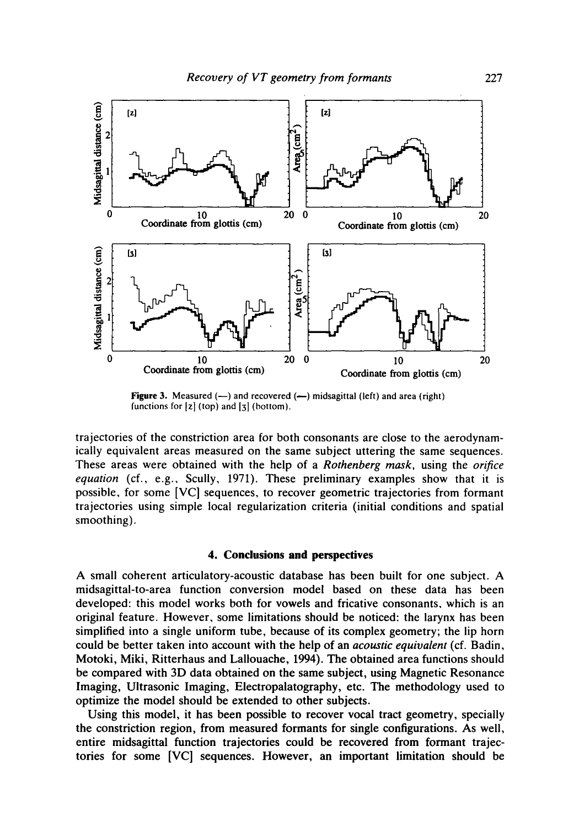

Figure 3. Measured  $(-)$  and recovered  $(-)$  midsagittal (left) and area (right) functions for  $[z]$  (top) and  $[z]$  (bottom).

trajectories of the constriction area for both consonants are close to the aerodynamically equivalent areas measured on the same subject uttering the same sequences. These areas were obtained with the help of a *Rothenberg mask,* using the *orifice equation* (cf., e.g., Scully, 1971). These preliminary examples show that it is possible, for some [VC] sequences, to recover geometric trajectories from formant trajectories using simple local regularization criteria (initial conditions and spatial smoothing).

#### **4. Conclusions and perspectives**

A small coherent articulatory-acoustic database has been built for one subject. A midsagittal-to-area function conversion model based on these data has been developed: this model works both for vowels and fricative consonants, which is an original feature. However, some limitations should be noticed: the larynx has been simplified into a single uniform tube, because of its complex geometry; the lip horn could be better taken into account with the help of an *acoustic equivalent* (cf. Badin, Motoki, Miki, Ritterhaus and Lallouache, 1994). The obtained area functions should be compared with 3D data obtained on the same subject, using Magnetic Resonance Imaging, Ultrasonic Imaging, Electropalatography, etc. The methodology used to optimize the model should be extended to other subjects.

Using this model, it has been possible to recover vocal tract geometry, specially the constriction region, from measured formants for single configurations. As well, entire midsagittal function trajectories could be recovered from formant trajectories for some [VC] sequences. However, an important limitation should be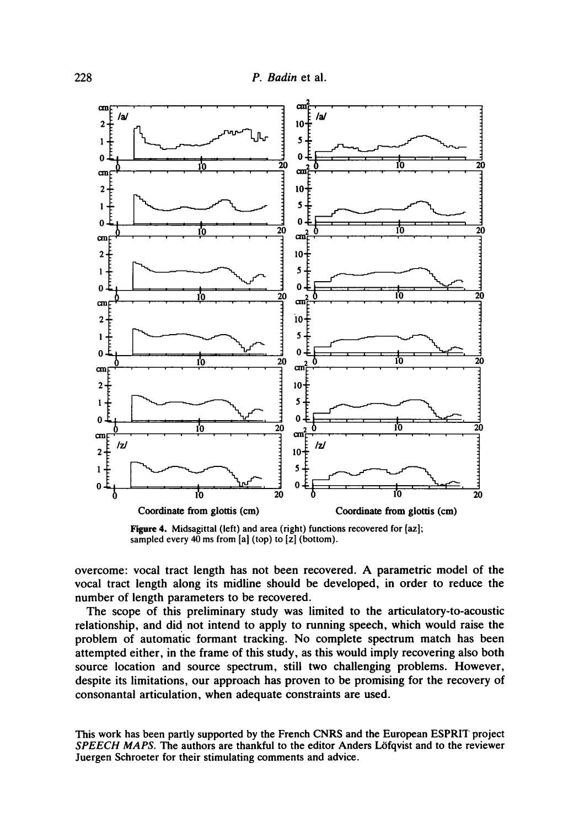

Figure 4. Midsagittal (left) and area (right) functions recovered for [az]; sampled every  $40$  ms from [a] (top) to  $[z]$  (bottom).

overcome: vocal tract length has not been recovered. A parametric model of the vocal tract length along its midline should be developed, in order to reduce the number of length parameters to be recovered.

The scope of this preliminary study was limited to the articulatory-to-acoustic relationship, and did not intend to apply to running speech, which would raise the problem of automatic formant tracking. No complete spectrum match has been attempted either, in the frame of this study, as this would imply recovering also both source location and source spectrum, still two challenging problems. However, despite its limitations, our approach has proven to be promising for the recovery of consonantal articulation, when adequate constraints are used.

This work has been partly supported by the French CNRS and the European ESPRIT project *SPEECH MAPS. The* authors are thankful to the editor Anders L6fqvist and to the reviewer Juergen Schroeter for their stimulating comments and advice.